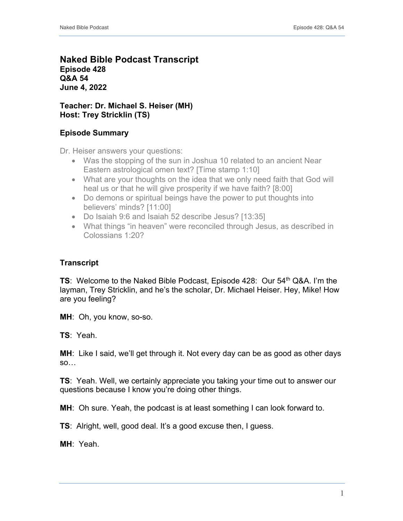## **Naked Bible Podcast Transcript Episode 428 Q&A 54 June 4, 2022**

## **Teacher: Dr. Michael S. Heiser (MH) Host: Trey Stricklin (TS)**

# **Episode Summary**

Dr. Heiser answers your questions:

- Was the stopping of the sun in Joshua 10 related to an ancient Near Eastern astrological omen text? [Time stamp 1:10]
- What are your thoughts on the idea that we only need faith that God will heal us or that he will give prosperity if we have faith? [8:00]
- Do demons or spiritual beings have the power to put thoughts into believers' minds? [11:00]
- Do Isaiah 9:6 and Isaiah 52 describe Jesus? [13:35]
- What things "in heaven" were reconciled through Jesus, as described in Colossians 1:20?

# **Transcript**

**TS:** Welcome to the Naked Bible Podcast, Episode 428: Our 54<sup>th</sup> Q&A. I'm the layman, Trey Stricklin, and he's the scholar, Dr. Michael Heiser. Hey, Mike! How are you feeling?

**MH**: Oh, you know, so-so.

**TS**: Yeah.

**MH**: Like I said, we'll get through it. Not every day can be as good as other days so…

**TS**: Yeah. Well, we certainly appreciate you taking your time out to answer our questions because I know you're doing other things.

**MH**: Oh sure. Yeah, the podcast is at least something I can look forward to.

**TS**: Alright, well, good deal. It's a good excuse then, I guess.

**MH**: Yeah.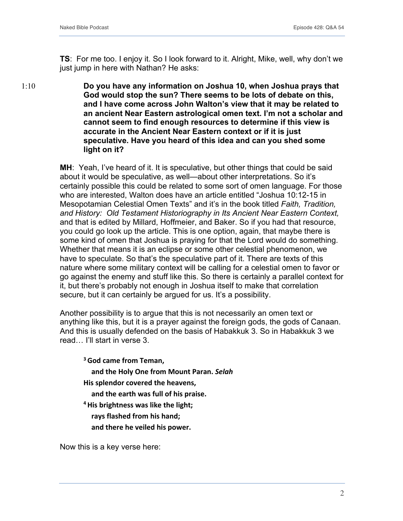1:10

**TS**: For me too. I enjoy it. So I look forward to it. Alright, Mike, well, why don't we just jump in here with Nathan? He asks:

**Do you have any information on Joshua 10, when Joshua prays that God would stop the sun? There seems to be lots of debate on this, and I have come across John Walton's view that it may be related to an ancient Near Eastern astrological omen text. I'm not a scholar and cannot seem to find enough resources to determine if this view is accurate in the Ancient Near Eastern context or if it is just speculative. Have you heard of this idea and can you shed some light on it?**

**MH**: Yeah, I've heard of it. It is speculative, but other things that could be said about it would be speculative, as well—about other interpretations. So it's certainly possible this could be related to some sort of omen language. For those who are interested, Walton does have an article entitled "Joshua 10:12-15 in Mesopotamian Celestial Omen Texts" and it's in the book titled *Faith, Tradition, and History: Old Testament Historiography in Its Ancient Near Eastern Context,* and that is edited by Millard, Hoffmeier, and Baker. So if you had that resource, you could go look up the article. This is one option, again, that maybe there is some kind of omen that Joshua is praying for that the Lord would do something. Whether that means it is an eclipse or some other celestial phenomenon, we have to speculate. So that's the speculative part of it. There are texts of this nature where some military context will be calling for a celestial omen to favor or go against the enemy and stuff like this. So there is certainly a parallel context for it, but there's probably not enough in Joshua itself to make that correlation secure, but it can certainly be argued for us. It's a possibility.

Another possibility is to argue that this is not necessarily an omen text or anything like this, but it is a prayer against the foreign gods, the gods of Canaan. And this is usually defended on the basis of Habakkuk 3. So in Habakkuk 3 we read… I'll start in verse 3.

**3God came from Teman, and the Holy One from Mount Paran.** *Selah* **His splendor covered the heavens, and the earth was full of his praise. 4His brightness was like the light; rays flashed from his hand; and there he veiled his power.**

Now this is a key verse here: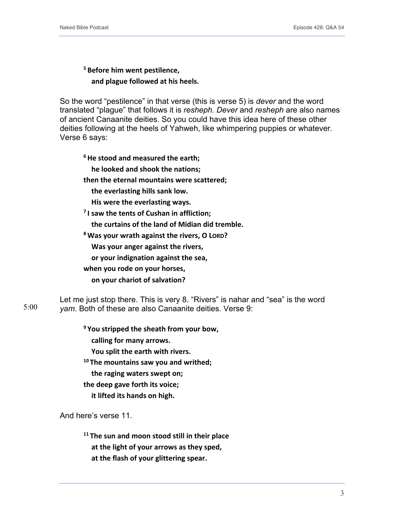**<sup>5</sup> Before him went pestilence, and plague followed at his heels.**

So the word "pestilence" in that verse (this is verse 5) is *dever* and the word translated "plague" that follows it is *resheph. Dever* and *resheph* are also names of ancient Canaanite deities. So you could have this idea here of these other deities following at the heels of Yahweh, like whimpering puppies or whatever. Verse 6 says:

**6He stood and measured the earth;**

**he looked and shook the nations;**

**then the eternal mountains were scattered;**

**the everlasting hills sank low.**

**His were the everlasting ways.**

**<sup>7</sup> I saw the tents of Cushan in affliction;**

**the curtains of the land of Midian did tremble.**

**<sup>8</sup> Was your wrath against the rivers, O LORD?**

**Was your anger against the rivers,**

**or your indignation against the sea,**

**when you rode on your horses,**

**on your chariot of salvation?**

Let me just stop there. This is very 8. "Rivers" is nahar and "sea" is the word *yam*. Both of these are also Canaanite deities. Verse 9: 5:00

**<sup>9</sup> You stripped the sheath from your bow,**

**calling for many arrows.**

**You split the earth with rivers.**

**<sup>10</sup> The mountains saw you and writhed;**

**the raging waters swept on;**

**the deep gave forth its voice;**

**it lifted its hands on high.**

And here's verse 11.

**<sup>11</sup> The sun and moon stood still in their place at the light of your arrows as they sped, at the flash of your glittering spear.**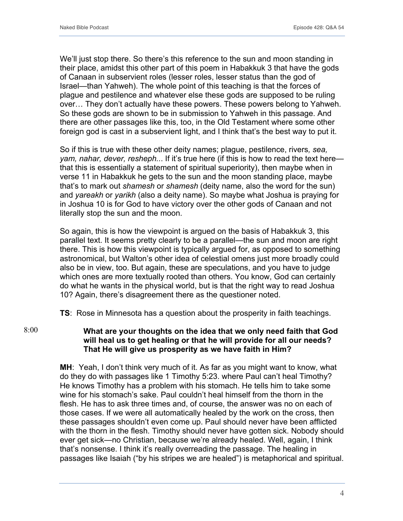We'll just stop there. So there's this reference to the sun and moon standing in their place, amidst this other part of this poem in Habakkuk 3 that have the gods of Canaan in subservient roles (lesser roles, lesser status than the god of Israel—than Yahweh). The whole point of this teaching is that the forces of plague and pestilence and whatever else these gods are supposed to be ruling over… They don't actually have these powers. These powers belong to Yahweh. So these gods are shown to be in submission to Yahweh in this passage. And there are other passages like this, too, in the Old Testament where some other foreign god is cast in a subservient light, and I think that's the best way to put it.

So if this is true with these other deity names; plague, pestilence, rivers*, sea, yam, nahar, dever, resheph..*. If it's true here (if this is how to read the text here that this is essentially a statement of spiritual superiority), then maybe when in verse 11 in Habakkuk he gets to the sun and the moon standing place, maybe that's to mark out *shamesh* or *shamesh* (deity name, also the word for the sun) and *yareakh* or *yarikh* (also a deity name). So maybe what Joshua is praying for in Joshua 10 is for God to have victory over the other gods of Canaan and not literally stop the sun and the moon.

So again, this is how the viewpoint is argued on the basis of Habakkuk 3, this parallel text. It seems pretty clearly to be a parallel—the sun and moon are right there. This is how this viewpoint is typically argued for, as opposed to something astronomical, but Walton's other idea of celestial omens just more broadly could also be in view, too. But again, these are speculations, and you have to judge which ones are more textually rooted than others. You know, God can certainly do what he wants in the physical world, but is that the right way to read Joshua 10? Again, there's disagreement there as the questioner noted.

**TS**: Rose in Minnesota has a question about the prosperity in faith teachings.

**What are your thoughts on the idea that we only need faith that God will heal us to get healing or that he will provide for all our needs? That He will give us prosperity as we have faith in Him?** 8:00

> **MH**: Yeah, I don't think very much of it. As far as you might want to know, what do they do with passages like 1 Timothy 5:23. where Paul can't heal Timothy? He knows Timothy has a problem with his stomach. He tells him to take some wine for his stomach's sake. Paul couldn't heal himself from the thorn in the flesh. He has to ask three times and, of course, the answer was no on each of those cases. If we were all automatically healed by the work on the cross, then these passages shouldn't even come up. Paul should never have been afflicted with the thorn in the flesh. Timothy should never have gotten sick. Nobody should ever get sick—no Christian, because we're already healed. Well, again, I think that's nonsense. I think it's really overreading the passage. The healing in passages like Isaiah ("by his stripes we are healed") is metaphorical and spiritual.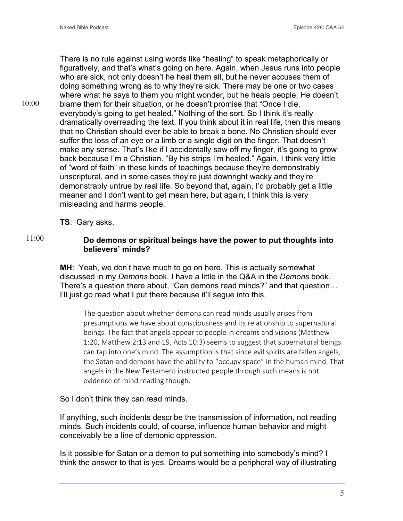There is no rule against using words like "healing" to speak metaphorically or figuratively, and that's what's going on here. Again, when Jesus runs into people who are sick, not only doesn't he heal them all, but he never accuses them of doing something wrong as to why they're sick. There may be one or two cases where what he says to them you might wonder, but he heals people. He doesn't blame them for their situation, or he doesn't promise that "Once I die, everybody's going to get healed." Nothing of the sort. So I think it's really dramatically overreading the text. If you think about it in real life, then this means that no Christian should ever be able to break a bone. No Christian should ever suffer the loss of an eye or a limb or a single digit on the finger. That doesn't make any sense. That's like if I accidentally saw off my finger, it's going to grow back because I'm a Christian. "By his strips I'm healed." Again, I think very little of "word of faith" in these kinds of teachings because they're demonstrably unscriptural, and in some cases they're just downright wacky and they're demonstrably untrue by real life. So beyond that, again, I'd probably get a little meaner and I don't want to get mean here, but again, I think this is very misleading and harms people. 10:00

**TS**: Gary asks.

### 11:00

## **Do demons or spiritual beings have the power to put thoughts into believers' minds?**

**MH**: Yeah, we don't have much to go on here. This is actually somewhat discussed in my *Demons* book. I have a little in the Q&A in the *Demons* book. There's a question there about, "Can demons read minds?" and that question… I'll just go read what I put there because it'll segue into this.

The question about whether demons can read minds usually arises from presumptions we have about consciousness and its relationship to supernatural beings. The fact that angels appear to people in dreams and visions (Matthew 1:20, Matthew 2:13 and 19, Acts 10:3) seems to suggest that supernatural beings can tap into one's mind. The assumption is that since evil spirits are fallen angels, the Satan and demons have the ability to "occupy space" in the human mind. That angels in the New Testament instructed people through such means is not evidence of mind reading though.

So I don't think they can read minds.

If anything, such incidents describe the transmission of information, not reading minds. Such incidents could, of course, influence human behavior and might conceivably be a line of demonic oppression.

Is it possible for Satan or a demon to put something into somebody's mind? I think the answer to that is yes. Dreams would be a peripheral way of illustrating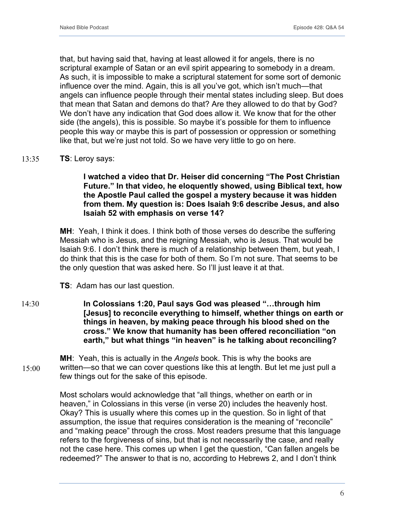that, but having said that, having at least allowed it for angels, there is no scriptural example of Satan or an evil spirit appearing to somebody in a dream. As such, it is impossible to make a scriptural statement for some sort of demonic influence over the mind. Again, this is all you've got, which isn't much—that angels can influence people through their mental states including sleep. But does that mean that Satan and demons do that? Are they allowed to do that by God? We don't have any indication that God does allow it. We know that for the other side (the angels), this is possible. So maybe it's possible for them to influence people this way or maybe this is part of possession or oppression or something like that, but we're just not told. So we have very little to go on here.

#### **TS**: Leroy says: 13:35

15:00

**I watched a video that Dr. Heiser did concerning "The Post Christian Future." In that video, he eloquently showed, using Biblical text, how the Apostle Paul called the gospel a mystery because it was hidden from them. My question is: Does Isaiah 9:6 describe Jesus, and also Isaiah 52 with emphasis on verse 14?**

**MH**: Yeah, I think it does. I think both of those verses do describe the suffering Messiah who is Jesus, and the reigning Messiah, who is Jesus. That would be Isaiah 9:6. I don't think there is much of a relationship between them, but yeah, I do think that this is the case for both of them. So I'm not sure. That seems to be the only question that was asked here. So I'll just leave it at that.

**TS**: Adam has our last question.

**In Colossians 1:20, Paul says God was pleased "…through him [Jesus] to reconcile everything to himself, whether things on earth or things in heaven, by making peace through his blood shed on the cross." We know that humanity has been offered reconciliation "on earth," but what things "in heaven" is he talking about reconciling?** 14:30

**MH**: Yeah, this is actually in the *Angels* book. This is why the books are written—so that we can cover questions like this at length. But let me just pull a few things out for the sake of this episode.

Most scholars would acknowledge that "all things, whether on earth or in heaven," in Colossians in this verse (in verse 20) includes the heavenly host. Okay? This is usually where this comes up in the question. So in light of that assumption, the issue that requires consideration is the meaning of "reconcile" and "making peace" through the cross. Most readers presume that this language refers to the forgiveness of sins, but that is not necessarily the case, and really not the case here. This comes up when I get the question, "Can fallen angels be redeemed?" The answer to that is no, according to Hebrews 2, and I don't think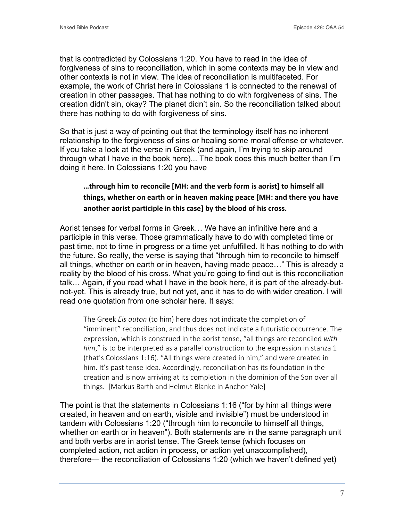that is contradicted by Colossians 1:20. You have to read in the idea of forgiveness of sins to reconciliation, which in some contexts may be in view and other contexts is not in view. The idea of reconciliation is multifaceted. For example, the work of Christ here in Colossians 1 is connected to the renewal of creation in other passages. That has nothing to do with forgiveness of sins. The creation didn't sin, okay? The planet didn't sin. So the reconciliation talked about there has nothing to do with forgiveness of sins.

So that is just a way of pointing out that the terminology itself has no inherent relationship to the forgiveness of sins or healing some moral offense or whatever. If you take a look at the verse in Greek (and again, I'm trying to skip around through what I have in the book here)... The book does this much better than I'm doing it here. In Colossians 1:20 you have

# **…through him to reconcile [MH: and the verb form is aorist] to himself all things, whether on earth or in heaven making peace [MH: and there you have another aorist participle in this case] by the blood of his cross.**

Aorist tenses for verbal forms in Greek… We have an infinitive here and a participle in this verse. Those grammatically have to do with completed time or past time, not to time in progress or a time yet unfulfilled. It has nothing to do with the future. So really, the verse is saying that "through him to reconcile to himself all things, whether on earth or in heaven, having made peace…" This is already a reality by the blood of his cross. What you're going to find out is this reconciliation talk… Again, if you read what I have in the book here, it is part of the already-butnot-yet. This is already true, but not yet, and it has to do with wider creation. I will read one quotation from one scholar here. It says:

The Greek *Eis auton* (to him) here does not indicate the completion of "imminent" reconciliation, and thus does not indicate a futuristic occurrence. The expression, which is construed in the aorist tense, "all things are reconciled *with him*," is to be interpreted as a parallel construction to the expression in stanza 1 (that's Colossians 1:16). "All things were created in him," and were created in him. It's past tense idea. Accordingly, reconciliation has its foundation in the creation and is now arriving at its completion in the dominion of the Son over all things. [Markus Barth and Helmut Blanke in Anchor-Yale]

The point is that the statements in Colossians 1:16 ("for by him all things were created, in heaven and on earth, visible and invisible") must be understood in tandem with Colossians 1:20 ("through him to reconcile to himself all things, whether on earth or in heaven"). Both statements are in the same paragraph unit and both verbs are in aorist tense. The Greek tense (which focuses on completed action, not action in process, or action yet unaccomplished), therefore— the reconciliation of Colossians 1:20 (which we haven't defined yet)